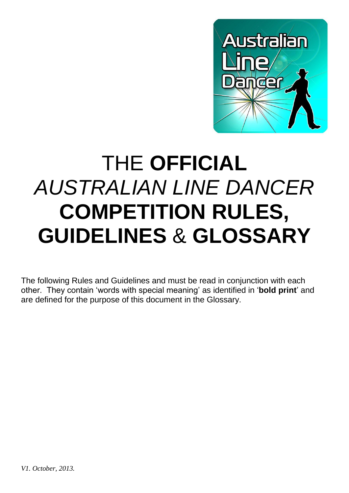

# THE **OFFICIAL** *AUSTRALIAN LINE DANCER* **COMPETITION RULES, GUIDELINES** & **GLOSSARY**

The following Rules and Guidelines and must be read in conjunction with each other. They contain 'words with special meaning' as identified in '**bold print**' and are defined for the purpose of this document in the Glossary.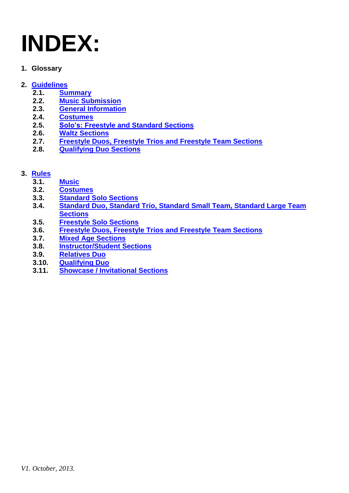# **INDEX:**

**1. Glossary**

### **2. [Guidelines](#page-2-0)**

- **2.1. [Summary](#page-4-0)**
- **2.2. [Music Submission](#page-4-1)**
- **2.3. [General Information](#page-4-2)**
- **2.4. [Costumes](#page-5-0)**
- **2.5. [Solo's: Freestyle and Standard Sections](#page-5-1)**
- **2.6. [Waltz Sections](#page-5-2)**
- **2.7. [Freestyle Duos, Freestyle Trios and Freestyle Team Sections](#page-5-3)**
- **2.8. [Qualifying Duo Sections](#page-5-4)**

### **3. [Rules](#page-4-3)**

- **3.1. [Music](#page-6-0)**
- **3.2. [Costumes](#page-7-0)**
- **3.3. [Standard Solo Sections](#page-7-1)**
- **3.4. [Standard Duo, Standard Trio, Standard Small Team, Standard Large Team](#page-7-2)  [Sections](#page-7-2)**
- **3.5. [Freestyle Solo Sections](#page-7-3)**
- **3.6. [Freestyle Duos, Freestyle Trios and Freestyle Team Sections](#page-7-4)**
- **3.7. [Mixed Age Sections](#page-8-0)**
- **3.8. [Instructor/Student Sections](#page-8-1)**
- **3.9. [Relatives Duo](#page-8-2)**
- **3.10. [Qualifying Duo](#page-8-3)**
- **3.11. [Showcase / Invitational Sections](#page-8-4)**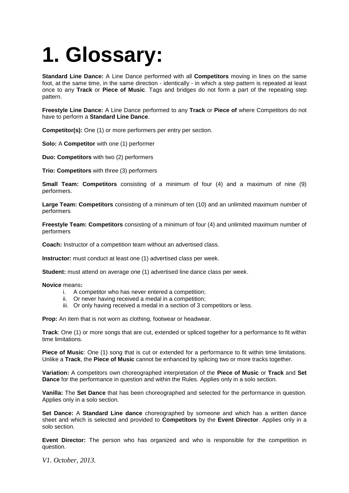### <span id="page-2-0"></span>**1. Glossary:**

**Standard Line Dance:** A Line Dance performed with all **Competitors** moving in lines on the same foot, at the same time, in the same direction - identically - in which a step pattern is repeated at least once to any **Track** or **Piece of Music**. Tags and bridges do not form a part of the repeating step pattern.

**Freestyle Line Dance:** A Line Dance performed to any **Track** or **Piece of** where Competitors do not have to perform a **Standard Line Dance**.

**Competitor(s):** One (1) or more performers per entry per section.

**Solo:** A **Competitor** with one (1) performer

**Duo: Competitors** with two (2) performers

**Trio: Competitors** with three (3) performers

**Small Team: Competitors** consisting of a minimum of four (4) and a maximum of nine (9) performers.

**Large Team: Competitors** consisting of a minimum of ten (10) and an unlimited maximum number of performers

**Freestyle Team: Competitors** consisting of a minimum of four (4) and unlimited maximum number of performers

**Coach:** Instructor of a competition team without an advertised class.

**Instructor:** must conduct at least one (1) advertised class per week.

**Student:** must attend on average one (1) advertised line dance class per week.

**Novice** means**:**

- i. A competitor who has never entered a competition;
- ii. Or never having received a medal in a competition;
- iii. Or only having received a medal in a section of 3 competitors or less.

**Prop:** An item that is not worn as clothing, footwear or headwear.

**Track**: One (1) or more songs that are cut, extended or spliced together for a performance to fit within time limitations.

Piece of Music: One (1) song that is cut or extended for a performance to fit within time limitations. Unlike a **Track**, the **Piece of Music** cannot be enhanced by splicing two or more tracks together.

**Variation:** A competitors own choreographed interpretation of the **Piece of Music** or **Track** and **Set Dance** for the performance in question and within the Rules. Applies only in a solo section.

**Vanilla:** The **Set Dance** that has been choreographed and selected for the performance in question. Applies only in a solo section.

**Set Dance:** A **Standard Line dance** choreographed by someone and which has a written dance sheet and which is selected and provided to **Competitors** by the **Event Director**. Applies only in a solo section.

**Event Director:** The person who has organized and who is responsible for the competition in question.

*V1. October, 2013.*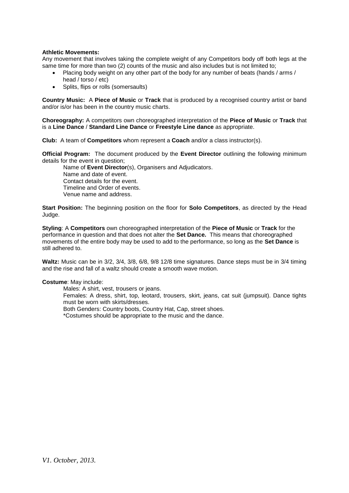#### **Athletic Movements:**

Any movement that involves taking the complete weight of any Competitors body off both legs at the same time for more than two (2) counts of the music and also includes but is not limited to;

- Placing body weight on any other part of the body for any number of beats (hands / arms / head / torso / etc)
- Splits, flips or rolls (somersaults)

**Country Music:** A **Piece of Music** or **Track** that is produced by a recognised country artist or band and/or is/or has been in the country music charts.

**Choreography:** A competitors own choreographed interpretation of the **Piece of Music** or **Track** that is a **Line Dance** / **Standard Line Dance** or **Freestyle Line dance** as appropriate.

**Club:** A team of **Competitors** whom represent a **Coach** and/or a class instructor(s).

**Official Program:** The document produced by the **Event Director** outlining the following minimum details for the event in question;

Name of **Event Director**(s), Organisers and Adjudicators. Name and date of event. Contact details for the event. Timeline and Order of events. Venue name and address.

**Start Position:** The beginning position on the floor for **Solo Competitors**, as directed by the Head Judge.

**Styling**: A **Competitors** own choreographed interpretation of the **Piece of Music** or **Track** for the performance in question and that does not alter the **Set Dance.** This means that choreographed movements of the entire body may be used to add to the performance, so long as the **Set Dance** is still adhered to.

**Waltz:** Music can be in 3/2, 3/4, 3/8, 6/8, 9/8 12/8 time signatures. Dance steps must be in 3/4 timing and the rise and fall of a waltz should create a smooth wave motion.

#### **Costume**: May include:

Males: A shirt, vest, trousers or jeans. Females: A dress, shirt, top, leotard, trousers, skirt, jeans, cat suit (jumpsuit). Dance tights must be worn with skirts/dresses. Both Genders: Country boots, Country Hat, Cap, street shoes. \*Costumes should be appropriate to the music and the dance.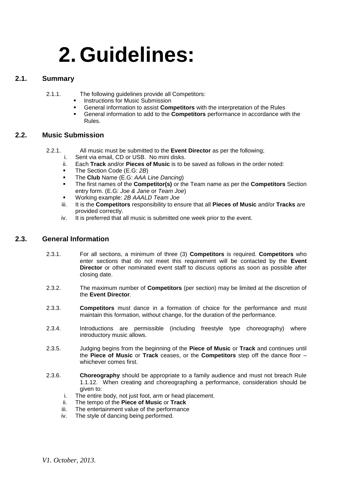## <span id="page-4-3"></span>**2. Guidelines:**

#### **2.1. Summary**

- <span id="page-4-0"></span>2.1.1. The following guidelines provide all Competitors:
	- Instructions for Music Submission
	- General information to assist **Competitors** with the interpretation of the Rules
	- General information to add to the **Competitors** performance in accordance with the Rules.

#### **2.2. Music Submission**

- <span id="page-4-1"></span>2.2.1. All music must be submitted to the **Event Director** as per the following;
	- i. Sent via email, CD or USB. No mini disks.
	- ii. Each **Track** and/or **Pieces of Music** is to be saved as follows in the order noted:
	- The Section Code (E.G: *2B*)
	- The **Club** Name (E.G: *AAA Line Dancing*)
	- The first names of the **Competitor(s)** or the Team name as per the **Competitors** Section entry form. (E.G: *Joe & Jane* or *Team Joe*)
	- Working example: *2B AAALD Team Joe*
	- iii. It is the **Competitors** responsibility to ensure that all **Pieces of Music** and/or **Tracks** are provided correctly.
	- iv. It is preferred that all music is submitted one week prior to the event.

#### **2.3. General Information**

- <span id="page-4-2"></span>2.3.1. For all sections, a minimum of three (3) **Competitors** is required. **Competitors** who enter sections that do not meet this requirement will be contacted by the **Event Director** or other nominated event staff to discuss options as soon as possible after closing date.
- 2.3.2. The maximum number of **Competitors** (per section) may be limited at the discretion of the **Event Director**.
- 2.3.3. **Competitors** must dance in a formation of choice for the performance and must maintain this formation, without change, for the duration of the performance.
- 2.3.4. Introductions are permissible (including freestyle type choreography) where introductory music allows.
- 2.3.5. Judging begins from the beginning of the **Piece of Music** or **Track** and continues until the **Piece of Music** or **Track** ceases, or the **Competitors** step off the dance floor – whichever comes first.
- 2.3.6. **Choreography** should be appropriate to a family audience and must not breach Rule 1.1.12. When creating and choreographing a performance, consideration should be given to:
	- i. The entire body, not just foot, arm or head placement.
	- ii. The tempo of the **Piece of Music** or **Track**
	- iii. The entertainment value of the performance
	- iv. The style of dancing being performed.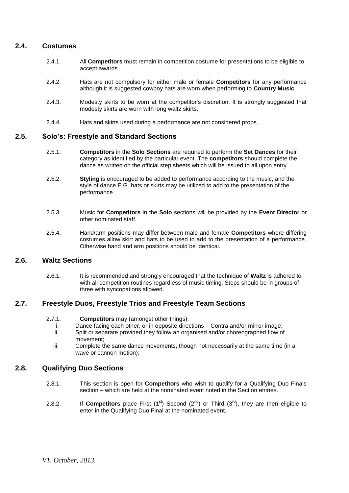#### **2.4. Costumes**

- <span id="page-5-0"></span>2.4.1. All **Competitors** must remain in competition costume for presentations to be eligible to accept awards.
- 2.4.2. Hats are not compulsory for either male or female **Competitors** for any performance although it is suggested cowboy hats are worn when performing to **Country Music**.
- 2.4.3. Modesty skirts to be worn at the competitor's discretion. It is strongly suggested that modesty skirts are worn with long waltz skirts.
- 2.4.4. Hats and skirts used during a performance are not considered props.

#### <span id="page-5-1"></span>**2.5. Solo's: Freestyle and Standard Sections**

- 2.5.1. **Competitors** in the **Solo Sections** are required to perform the **Set Dances** for their category as identified by the particular event. The **competitors** should complete the dance as written on the official step sheets which will be issued to all upon entry.
- 2.5.2. **Styling** is encouraged to be added to performance according to the music, and the style of dance E.G. hats or skirts may be utilized to add to the presentation of the performance
- 2.5.3. Music for **Competitors** in the **Solo** sections will be provided by the **Event Director** or other nominated staff.
- 2.5.4. Hand/arm positions may differ between male and female **Competitors** where differing costumes allow skirt and hats to be used to add to the presentation of a performance. Otherwise hand and arm positions should be identical.

#### **2.6. Waltz Sections**

<span id="page-5-2"></span>2.6.1. It is recommended and strongly encouraged that the technique of **Waltz** is adhered to with all competition routines regardless of music timing. Steps should be in groups of three with syncopations allowed.

#### **2.7. Freestyle Duos, Freestyle Trios and Freestyle Team Sections**

#### <span id="page-5-3"></span>2.7.1. **Competitors** may (amongst other things):

- i. Dance facing each other, or in opposite directions Contra and/or mirror image;
- ii. Split or separate provided they follow an organised and/or choreographed flow of movement;
- <span id="page-5-4"></span>iii. Complete the same dance movements, though not necessarily at the same time (in a wave or cannon motion);

#### **2.8. Qualifying Duo Sections**

- 2.8.1. This section is open for **Competitors** who wish to qualify for a Qualifying Duo Finals section – which are held at the nominated event noted in the Section entries.
- 2.8.2. If **Competitors** place First (1<sup>st</sup>) Second (2<sup>nd</sup>) or Third (3<sup>rd</sup>), they are then eligible to enter in the Qualifying Duo Final at the nominated event.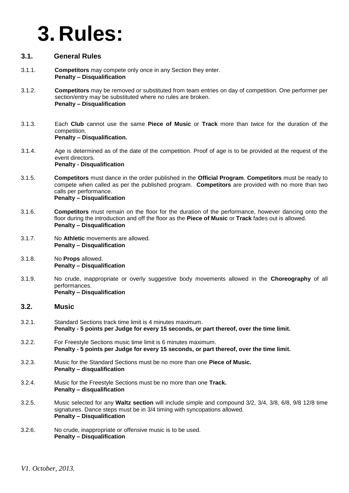### **3. Rules:**

#### **3.1. General Rules**

- 3.1.1. **Competitors** may compete only once in any Section they enter. **Penalty – Disqualification**
- 3.1.2. **Competitors** may be removed or substituted from team entries on day of competition. One performer per section/entry may be substituted where no rules are broken. **Penalty – Disqualification**
- 3.1.3. Each **Club** cannot use the same **Piece of Music** or **Track** more than twice for the duration of the competition. **Penalty – Disqualification.**
- 3.1.4. Age is determined as of the date of the competition. Proof of age is to be provided at the request of the event directors. **Penalty - Disqualification**
- 3.1.5. **Competitors** must dance in the order published in the **Official Program**. **Competitors** must be ready to compete when called as per the published program. **Competitors** are provided with no more than two calls per performance. **Penalty – Disqualification**
- 3.1.6. **Competitors** must remain on the floor for the duration of the performance, however dancing onto the floor during the introduction and off the floor as the **Piece of Music** or **Track** fades out is allowed. **Penalty – Disqualification**
- 3.1.7. No **Athletic** movements are allowed. **Penalty – Disqualification**
- 3.1.8. No **Props** allowed. **Penalty – Disqualification**
- 3.1.9. No crude, inappropriate or overly suggestive body movements allowed in the **Choreography** of all performances. **Penalty – Disqualification**

#### <span id="page-6-0"></span>**3.2. Music**

- 3.2.1. Standard Sections track time limit is 4 minutes maximum. **Penalty - 5 points per Judge for every 15 seconds, or part thereof, over the time limit.**
- 3.2.2. For Freestyle Sections music time limit is 6 minutes maximum. **Penalty - 5 points per Judge for every 15 seconds, or part thereof, over the time limit.**
- 3.2.3. Music for the Standard Sections must be no more than one **Piece of Music. Penalty – disqualification**
- 3.2.4. Music for the Freestyle Sections must be no more than one **Track. Penalty – disqualification**
- 3.2.5. Music selected for any **Waltz section** will include simple and compound 3/2, 3/4, 3/8, 6/8, 9/8 12/8 time signatures. Dance steps must be in 3/4 timing with syncopations allowed. **Penalty – Disqualification**
- 3.2.6. No crude, inappropriate or offensive music is to be used. **Penalty – Disqualification**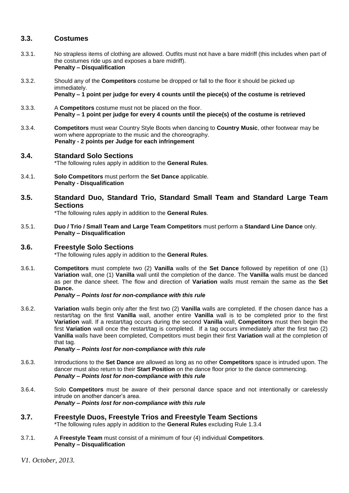#### <span id="page-7-0"></span>**3.3. Costumes**

- 3.3.1. No strapless items of clothing are allowed. Outfits must not have a bare midriff (this includes when part of the costumes ride ups and exposes a bare midriff). **Penalty – Disqualification**
- 3.3.2. Should any of the **Competitors** costume be dropped or fall to the floor it should be picked up immediately. **Penalty – 1 point per judge for every 4 counts until the piece(s) of the costume is retrieved**
- 3.3.3. A **Competitors** costume must not be placed on the floor. **Penalty – 1 point per judge for every 4 counts until the piece(s) of the costume is retrieved**
- 3.3.4. **Competitors** must wear Country Style Boots when dancing to **Country Music**, other footwear may be worn where appropriate to the music and the choreography. **Penalty - 2 points per Judge for each infringement**

### <span id="page-7-1"></span>**3.4. Standard Solo Sections**

\*The following rules apply in addition to the **General Rules**.

- 3.4.1. **Solo Competitors** must perform the **Set Dance** applicable. **Penalty - Disqualification**
- <span id="page-7-2"></span>**3.5. Standard Duo, Standard Trio, Standard Small Team and Standard Large Team Sections**

\*The following rules apply in addition to the **General Rules**.

3.5.1. **Duo / Trio / Small Team and Large Team Competitors** must perform a **Standard Line Dance** only. **Penalty – Disqualification**

#### <span id="page-7-3"></span>**3.6. Freestyle Solo Sections**

\*The following rules apply in addition to the **General Rules**.

3.6.1. **Competitors** must complete two (2) **Vanilla** walls of the **Set Dance** followed by repetition of one (1) **Variation** wall, one (1) **Vanilla** wall until the completion of the dance. The **Vanilla** walls must be danced as per the dance sheet. The flow and direction of **Variation** walls must remain the same as the **Set Dance.**

*Penalty – Points lost for non-compliance with this rule*

3.6.2. **Variation** walls begin only after the first two (2) **Vanilla** walls are completed. If the chosen dance has a restart/tag on the first **Vanilla** wall, another entire **Vanilla** wall is to be completed prior to the first **Variation** wall. If a restart/tag occurs during the second **Vanilla** wall, **Competitors** must then begin the first **Variation** wall once the restart/tag is completed. If a tag occurs immediately after the first two (2) **Vanilla** walls have been completed, Competitors must begin their first **Variation** wall at the completion of that tag.

#### *Penalty – Points lost for non-compliance with this rule*

- 3.6.3. Introductions to the **Set Dance** are allowed as long as no other **Competitors** space is intruded upon. The dancer must also return to their **Start Position** on the dance floor prior to the dance commencing. *Penalty – Points lost for non-compliance with this rule*
- 3.6.4. Solo **Competitors** must be aware of their personal dance space and not intentionally or carelessly intrude on another dancer's area. *Penalty – Points lost for non-compliance with this rule*
- <span id="page-7-4"></span>**3.7. Freestyle Duos, Freestyle Trios and Freestyle Team Sections** \*The following rules apply in addition to the **General Rules** excluding Rule 1.3.4
- 3.7.1. A **Freestyle Team** must consist of a minimum of four (4) individual **Competitors**. **Penalty – Disqualification**

*V1. October, 2013.*